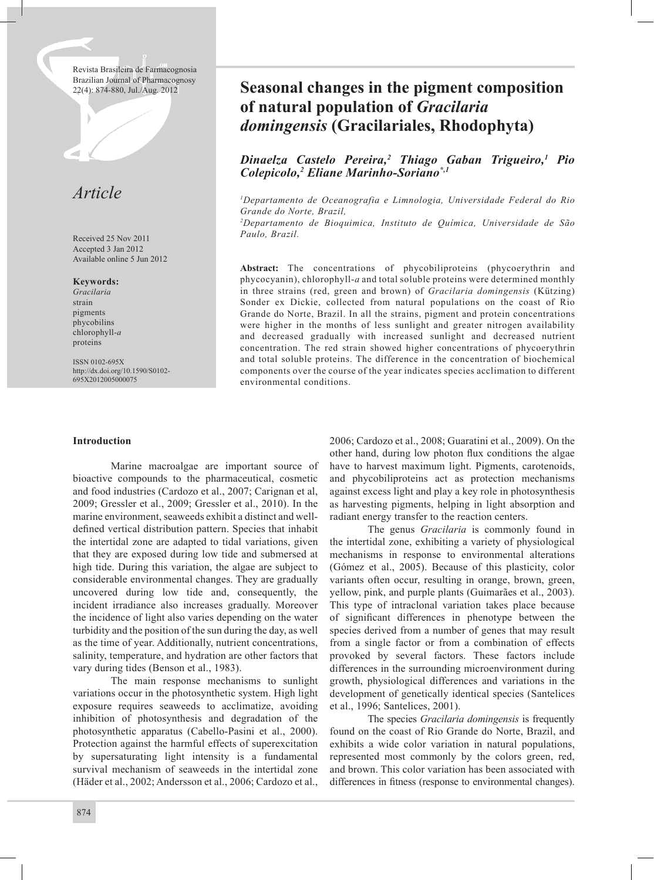Revista Brasileira de Farmacognosia Brazilian Journal of Pharmacognosy



*Article*

Received 25 Nov 2011 Accepted 3 Jan 2012 Available online 5 Jun 2012

#### **Keywords:**

*Gracilaria* strain pigments phycobilins chlorophyll-*a* proteins

ISSN 0102-695X http://dx.doi.org/10.1590/S0102- 695X2012005000075

#### **Introduction**

 Marine macroalgae are important source of bioactive compounds to the pharmaceutical, cosmetic and food industries (Cardozo et al., 2007; Carignan et al, 2009; Gressler et al., 2009; Gressler et al., 2010). In the marine environment, seaweeds exhibit a distinct and welldefined vertical distribution pattern. Species that inhabit the intertidal zone are adapted to tidal variations, given that they are exposed during low tide and submersed at high tide. During this variation, the algae are subject to considerable environmental changes. They are gradually uncovered during low tide and, consequently, the incident irradiance also increases gradually. Moreover the incidence of light also varies depending on the water turbidity and the position of the sun during the day, as well as the time of year. Additionally, nutrient concentrations, salinity, temperature, and hydration are other factors that vary during tides (Benson et al., 1983).

 The main response mechanisms to sunlight variations occur in the photosynthetic system. High light exposure requires seaweeds to acclimatize, avoiding inhibition of photosynthesis and degradation of the photosynthetic apparatus (Cabello-Pasini et al., 2000). Protection against the harmful effects of superexcitation by supersaturating light intensity is a fundamental survival mechanism of seaweeds in the intertidal zone (Häder et al., 2002; Andersson et al., 2006; Cardozo et al.,

# 22(4): 874-880, Jul./Aug. 2012 **Seasonal changes in the pigment composition of natural population of** *Gracilaria domingensis* **(Gracilariales, Rhodophyta)**

*Dinaelza Castelo Pereira,2 Thiago Gaban Trigueiro,1 Pio Colepicolo,2 Eliane Marinho-Soriano\*,1*

*1 Departamento de Oceanografia e Limnologia, Universidade Federal do Rio Grande do Norte, Brazil,*

*2 Departamento de Bioquimica, Instituto de Química, Universidade de São Paulo, Brazil.*

**Abstract:** The concentrations of phycobiliproteins (phycoerythrin and phycocyanin), chlorophyll-*a* and total soluble proteins were determined monthly in three strains (red, green and brown) of *Gracilaria domingensis* (Kützing) Sonder ex Dickie, collected from natural populations on the coast of Rio Grande do Norte, Brazil. In all the strains, pigment and protein concentrations were higher in the months of less sunlight and greater nitrogen availability and decreased gradually with increased sunlight and decreased nutrient concentration. The red strain showed higher concentrations of phycoerythrin and total soluble proteins. The difference in the concentration of biochemical components over the course of the year indicates species acclimation to different environmental conditions.

> 2006; Cardozo et al., 2008; Guaratini et al., 2009). On the other hand, during low photon flux conditions the algae have to harvest maximum light. Pigments, carotenoids, and phycobiliproteins act as protection mechanisms against excess light and play a key role in photosynthesis as harvesting pigments, helping in light absorption and radiant energy transfer to the reaction centers.

> The genus *Gracilaria* is commonly found in the intertidal zone, exhibiting a variety of physiological mechanisms in response to environmental alterations (Gómez et al., 2005). Because of this plasticity, color variants often occur, resulting in orange, brown, green, yellow, pink, and purple plants (Guimarães et al., 2003). This type of intraclonal variation takes place because of significant differences in phenotype between the species derived from a number of genes that may result from a single factor or from a combination of effects provoked by several factors. These factors include differences in the surrounding microenvironment during growth, physiological differences and variations in the development of genetically identical species (Santelices et al., 1996; Santelices, 2001).

> The species *Gracilaria domingensis* is frequently found on the coast of Rio Grande do Norte, Brazil, and exhibits a wide color variation in natural populations, represented most commonly by the colors green, red, and brown. This color variation has been associated with differences in fitness (response to environmental changes).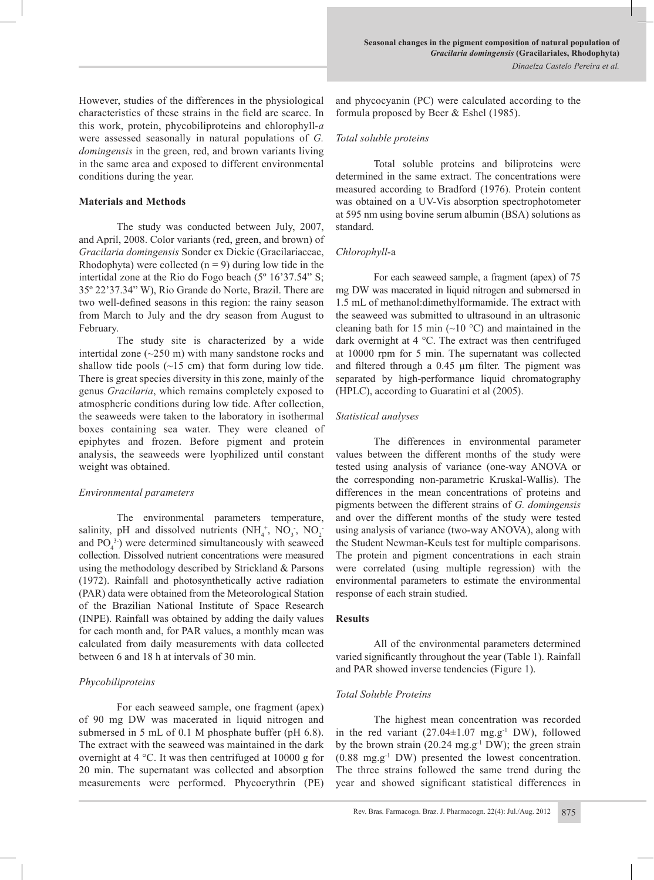However, studies of the differences in the physiological characteristics of these strains in the field are scarce. In this work, protein, phycobiliproteins and chlorophyll-*a*  were assessed seasonally in natural populations of *G. domingensis* in the green, red, and brown variants living in the same area and exposed to different environmental conditions during the year.

## **Materials and Methods**

The study was conducted between July, 2007, and April, 2008. Color variants (red, green, and brown) of *Gracilaria domingensis* Sonder ex Dickie (Gracilariaceae, Rhodophyta) were collected  $(n = 9)$  during low tide in the intertidal zone at the Rio do Fogo beach (5º 16'37.54" S; 35º 22'37.34" W), Rio Grande do Norte, Brazil. There are two well-defined seasons in this region: the rainy season from March to July and the dry season from August to February.

The study site is characterized by a wide intertidal zone  $(\sim 250 \text{ m})$  with many sandstone rocks and shallow tide pools  $(\sim 15 \text{ cm})$  that form during low tide. There is great species diversity in this zone, mainly of the genus *Gracilaria*, which remains completely exposed to atmospheric conditions during low tide. After collection, the seaweeds were taken to the laboratory in isothermal boxes containing sea water. They were cleaned of epiphytes and frozen. Before pigment and protein analysis, the seaweeds were lyophilized until constant weight was obtained.

## *Environmental parameters*

The environmental parameters temperature, salinity, pH and dissolved nutrients  $(NH_4^+, NO_3, NO_2)$ and  $PO<sub>4</sub><sup>3</sup>$ ) were determined simultaneously with seaweed collection. Dissolved nutrient concentrations were measured using the methodology described by Strickland & Parsons (1972). Rainfall and photosynthetically active radiation (PAR) data were obtained from the Meteorological Station of the Brazilian National Institute of Space Research (INPE). Rainfall was obtained by adding the daily values for each month and, for PAR values, a monthly mean was calculated from daily measurements with data collected between 6 and 18 h at intervals of 30 min.

# *Phycobiliproteins*

For each seaweed sample, one fragment (apex) of 90 mg DW was macerated in liquid nitrogen and submersed in 5 mL of 0.1 M phosphate buffer (pH 6.8). The extract with the seaweed was maintained in the dark overnight at 4 °C. It was then centrifuged at 10000 g for 20 min. The supernatant was collected and absorption measurements were performed. Phycoerythrin (PE) and phycocyanin (PC) were calculated according to the formula proposed by Beer & Eshel (1985).

# *Total soluble proteins*

Total soluble proteins and biliproteins were determined in the same extract. The concentrations were measured according to Bradford (1976). Protein content was obtained on a UV-Vis absorption spectrophotometer at 595 nm using bovine serum albumin (BSA) solutions as standard.

# *Chlorophyll*-a

For each seaweed sample, a fragment (apex) of 75 mg DW was macerated in liquid nitrogen and submersed in 1.5 mL of methanol:dimethylformamide. The extract with the seaweed was submitted to ultrasound in an ultrasonic cleaning bath for 15 min  $(\sim 10^{\circ}$ C) and maintained in the dark overnight at 4 °C. The extract was then centrifuged at 10000 rpm for 5 min. The supernatant was collected and filtered through a 0.45 µm filter. The pigment was separated by high-performance liquid chromatography (HPLC), according to Guaratini et al (2005).

# *Statistical analyses*

The differences in environmental parameter values between the different months of the study were tested using analysis of variance (one-way ANOVA or the corresponding non-parametric Kruskal-Wallis). The differences in the mean concentrations of proteins and pigments between the different strains of *G. domingensis*  and over the different months of the study were tested using analysis of variance (two-way ANOVA), along with the Student Newman-Keuls test for multiple comparisons. The protein and pigment concentrations in each strain were correlated (using multiple regression) with the environmental parameters to estimate the environmental response of each strain studied.

## **Results**

All of the environmental parameters determined varied significantly throughout the year (Table 1). Rainfall and PAR showed inverse tendencies (Figure 1).

## *Total Soluble Proteins*

The highest mean concentration was recorded in the red variant  $(27.04 \pm 1.07 \text{ mg} \cdot \text{g}^{-1} \text{DW})$ , followed by the brown strain (20.24 mg.g<sup>-1</sup> DW); the green strain  $(0.88 \text{ mg} \cdot \text{g}^{-1} \text{DW})$  presented the lowest concentration. The three strains followed the same trend during the year and showed significant statistical differences in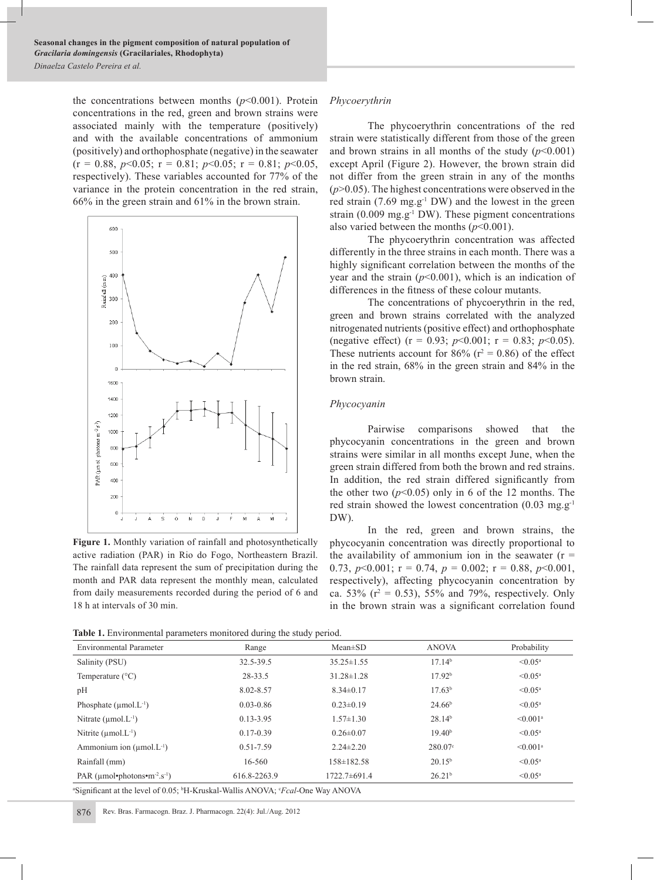the concentrations between months  $(p<0.001)$ . Protein concentrations in the red, green and brown strains were associated mainly with the temperature (positively) and with the available concentrations of ammonium (positively) and orthophosphate (negative) in the seawater  $(r = 0.88, p < 0.05; r = 0.81; p < 0.05; r = 0.81; p < 0.05,$ respectively). These variables accounted for 77% of the variance in the protein concentration in the red strain, 66% in the green strain and 61% in the brown strain.



**Figure 1.** Monthly variation of rainfall and photosynthetically active radiation (PAR) in Rio do Fogo, Northeastern Brazil. The rainfall data represent the sum of precipitation during the month and PAR data represent the monthly mean, calculated from daily measurements recorded during the period of 6 and 18 h at intervals of 30 min.

# *Phycoerythrin*

The phycoerythrin concentrations of the red strain were statistically different from those of the green and brown strains in all months of the study  $(p<0.001)$ except April (Figure 2). However, the brown strain did not differ from the green strain in any of the months (*p*>0.05). The highest concentrations were observed in the red strain  $(7.69 \text{ mg} \cdot \text{g}^{-1} \text{DW})$  and the lowest in the green strain  $(0.009 \text{ mg} \cdot \text{g}^{-1} \text{ DW})$ . These pigment concentrations also varied between the months  $(p<0.001)$ .

The phycoerythrin concentration was affected differently in the three strains in each month. There was a highly significant correlation between the months of the year and the strain  $(p<0.001)$ , which is an indication of differences in the fitness of these colour mutants.

The concentrations of phycoerythrin in the red, green and brown strains correlated with the analyzed nitrogenated nutrients (positive effect) and orthophosphate (negative effect) ( $r = 0.93$ ;  $p < 0.001$ ;  $r = 0.83$ ;  $p < 0.05$ ). These nutrients account for 86% ( $r^2 = 0.86$ ) of the effect in the red strain, 68% in the green strain and 84% in the brown strain.

#### *Phycocyanin*

Pairwise comparisons showed that the phycocyanin concentrations in the green and brown strains were similar in all months except June, when the green strain differed from both the brown and red strains. In addition, the red strain differed significantly from the other two  $(p<0.05)$  only in 6 of the 12 months. The red strain showed the lowest concentration (0.03 mg.g-1 DW).

In the red, green and brown strains, the phycocyanin concentration was directly proportional to the availability of ammonium ion in the seawater  $(r =$ 0.73,  $p<0.001$ ;  $r = 0.74$ ,  $p = 0.002$ ;  $r = 0.88$ ,  $p<0.001$ , respectively), affecting phycocyanin concentration by ca. 53% ( $r^2 = 0.53$ ), 55% and 79%, respectively. Only in the brown strain was a significant correlation found

**Table 1.** Environmental parameters monitored during the study period.

| $\mathbf{r}$                                                                                        | $\tilde{}$<br>$\sim$ 1 |                    |                    |                        |
|-----------------------------------------------------------------------------------------------------|------------------------|--------------------|--------------------|------------------------|
| <b>Environmental Parameter</b>                                                                      | Range                  | $Mean \pm SD$      | <b>ANOVA</b>       | Probability            |
| Salinity (PSU)                                                                                      | 32.5-39.5              | $35.25 \pm 1.55$   | 17.14 <sup>b</sup> | $< 0.05^{\text{a}}$    |
| Temperature $(^{\circ}C)$                                                                           | 28-33.5                | $31.28 \pm 1.28$   | 17.92 <sup>b</sup> | $< 0.05^{\text{a}}$    |
| pH                                                                                                  | 8.02-8.57              | $8.34 \pm 0.17$    | 17.63 <sup>b</sup> | $< 0.05^{\text{a}}$    |
| Phosphate $(\mu$ mol. $L^{-1})$                                                                     | $0.03 - 0.86$          | $0.23 \pm 0.19$    | 24.66 <sup>b</sup> | $< 0.05^{\text{a}}$    |
| Nitrate $(\mu mol.L^{-1})$                                                                          | $0.13 - 3.95$          | $1.57 \pm 1.30$    | 28.14 <sup>b</sup> | $< 0.001$ <sup>a</sup> |
| Nitrite $(\mu$ mol. $L^{-1}$ )                                                                      | $0.17 - 0.39$          | $0.26 \pm 0.07$    | 19.40 <sup>b</sup> | $< 0.05^{\text{a}}$    |
| Ammonium ion $(\mu$ mol. $L^{-1})$                                                                  | $0.51 - 7.59$          | $2.24 \pm 2.20$    | $280.07$ °         | $< 0.001$ <sup>a</sup> |
| Rainfall (mm)                                                                                       | 16-560                 | 158±182.58         | $20.15^{\rm b}$    | $< 0.05^{\text{a}}$    |
| PAR $(\mu$ mol•photons•m <sup>-2</sup> .s <sup>-1</sup> )                                           | 616.8-2263.9           | $1722.7 \pm 691.4$ | 26.21 <sup>b</sup> | $< 0.05^{\text{a}}$    |
| "Significant at the level of 0.05; <sup>b</sup> H-Kruskal-Wallis ANOVA; <i>'Fcal</i> -One Way ANOVA |                        |                    |                    |                        |

876 Rev. Bras. Farmacogn. Braz. J. Pharmacogn. 22(4): Jul./Aug. 2012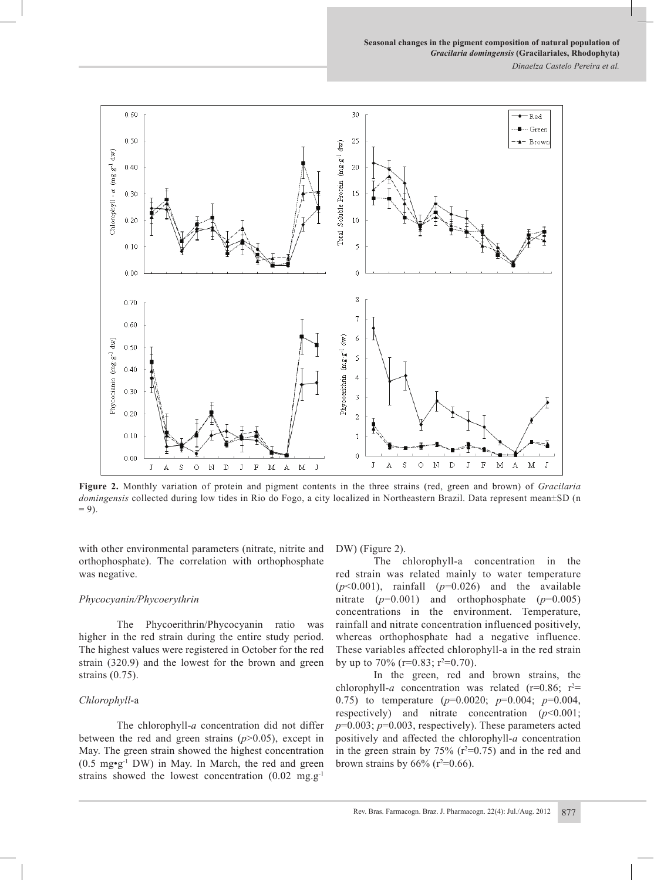*Dinaelza Castelo Pereira et al.*



**Figure 2.** Monthly variation of protein and pigment contents in the three strains (red, green and brown) of *Gracilaria domingensis* collected during low tides in Rio do Fogo, a city localized in Northeastern Brazil. Data represent mean±SD (n  $= 9$ ).

with other environmental parameters (nitrate, nitrite and orthophosphate). The correlation with orthophosphate was negative.

## *Phycocyanin/Phycoerythrin*

The Phycoerithrin/Phycocyanin ratio was higher in the red strain during the entire study period. The highest values were registered in October for the red strain (320.9) and the lowest for the brown and green strains (0.75).

#### *Chlorophyll*-a

The chlorophyll-*a* concentration did not differ between the red and green strains  $(p>0.05)$ , except in May. The green strain showed the highest concentration  $(0.5 \text{ mg} \cdot \text{g}^{-1} \text{DW})$  in May. In March, the red and green strains showed the lowest concentration  $(0.02 \text{ mg} \cdot \text{g}^{-1})$  DW) (Figure 2).

The chlorophyll-a concentration in the red strain was related mainly to water temperature  $(p<0.001)$ , rainfall  $(p=0.026)$  and the available nitrate (*p*=0.001) and orthophosphate (*p*=0.005) concentrations in the environment. Temperature, rainfall and nitrate concentration influenced positively, whereas orthophosphate had a negative influence. These variables affected chlorophyll-a in the red strain by up to  $70\%$  (r=0.83; r<sup>2</sup>=0.70).

In the green, red and brown strains, the chlorophyll-*a* concentration was related  $(r=0.86; r^2=$ 0.75) to temperature (*p*=0.0020; *p*=0.004; *p*=0.004, respectively) and nitrate concentration (*p*<0.001; *p*=0.003; *p*=0.003, respectively). These parameters acted positively and affected the chlorophyll-*a* concentration in the green strain by  $75\%$  ( $r^2=0.75$ ) and in the red and brown strains by  $66%$  ( $r^2=0.66$ ).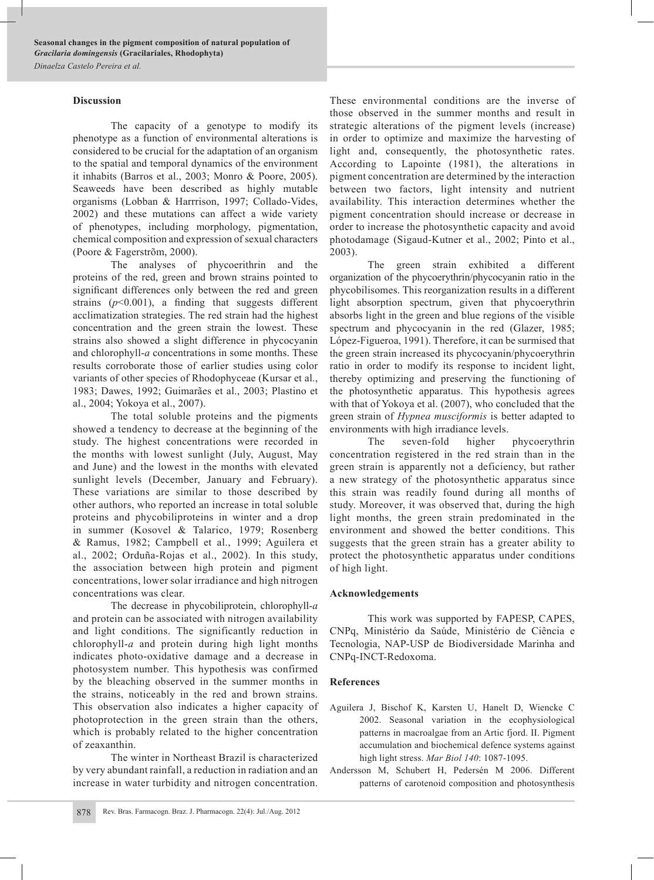## **Discussion**

The capacity of a genotype to modify its phenotype as a function of environmental alterations is considered to be crucial for the adaptation of an organism to the spatial and temporal dynamics of the environment it inhabits (Barros et al., 2003; Monro & Poore, 2005). Seaweeds have been described as highly mutable organisms (Lobban & Harrrison, 1997; Collado-Vides, 2002) and these mutations can affect a wide variety of phenotypes, including morphology, pigmentation, chemical composition and expression of sexual characters (Poore & Fagerstrõm, 2000).

The analyses of phycoerithrin and the proteins of the red, green and brown strains pointed to significant differences only between the red and green strains  $(p<0.001)$ , a finding that suggests different acclimatization strategies. The red strain had the highest concentration and the green strain the lowest. These strains also showed a slight difference in phycocyanin and chlorophyll-*a* concentrations in some months. These results corroborate those of earlier studies using color variants of other species of Rhodophyceae (Kursar et al., 1983; Dawes, 1992; Guimarães et al., 2003; Plastino et al., 2004; Yokoya et al., 2007).

The total soluble proteins and the pigments showed a tendency to decrease at the beginning of the study. The highest concentrations were recorded in the months with lowest sunlight (July, August, May and June) and the lowest in the months with elevated sunlight levels (December, January and February). These variations are similar to those described by other authors, who reported an increase in total soluble proteins and phycobiliproteins in winter and a drop in summer (Kosovel & Talarico, 1979; Rosenberg & Ramus, 1982; Campbell et al., 1999; Aguilera et al., 2002; Orduña-Rojas et al., 2002). In this study, the association between high protein and pigment concentrations, lower solar irradiance and high nitrogen concentrations was clear.

The decrease in phycobiliprotein, chlorophyll-*a* and protein can be associated with nitrogen availability and light conditions. The significantly reduction in chlorophyll-*a* and protein during high light months indicates photo-oxidative damage and a decrease in photosystem number. This hypothesis was confirmed by the bleaching observed in the summer months in the strains, noticeably in the red and brown strains. This observation also indicates a higher capacity of photoprotection in the green strain than the others, which is probably related to the higher concentration of zeaxanthin.

The winter in Northeast Brazil is characterized by very abundant rainfall, a reduction in radiation and an increase in water turbidity and nitrogen concentration.

These environmental conditions are the inverse of those observed in the summer months and result in strategic alterations of the pigment levels (increase) in order to optimize and maximize the harvesting of light and, consequently, the photosynthetic rates. According to Lapointe (1981), the alterations in pigment concentration are determined by the interaction between two factors, light intensity and nutrient availability. This interaction determines whether the pigment concentration should increase or decrease in order to increase the photosynthetic capacity and avoid photodamage (Sigaud-Kutner et al., 2002; Pinto et al., 2003).

The green strain exhibited a different organization of the phycoerythrin/phycocyanin ratio in the phycobilisomes. This reorganization results in a different light absorption spectrum, given that phycoerythrin absorbs light in the green and blue regions of the visible spectrum and phycocyanin in the red (Glazer, 1985; López-Figueroa, 1991). Therefore, it can be surmised that the green strain increased its phycocyanin/phycoerythrin ratio in order to modify its response to incident light, thereby optimizing and preserving the functioning of the photosynthetic apparatus. This hypothesis agrees with that of Yokoya et al. (2007), who concluded that the green strain of *Hypnea musciformis* is better adapted to environments with high irradiance levels.

The seven-fold higher phycoerythrin concentration registered in the red strain than in the green strain is apparently not a deficiency, but rather a new strategy of the photosynthetic apparatus since this strain was readily found during all months of study. Moreover, it was observed that, during the high light months, the green strain predominated in the environment and showed the better conditions. This suggests that the green strain has a greater ability to protect the photosynthetic apparatus under conditions of high light.

#### **Acknowledgements**

This work was supported by FAPESP, CAPES, CNPq, Ministério da Saúde, Ministério de Ciência e Tecnologia, NAP-USP de Biodiversidade Marinha and CNPq-INCT-Redoxoma.

#### **References**

- Aguilera J, Bischof K, Karsten U, Hanelt D, Wiencke C 2002. Seasonal variation in the ecophysiological patterns in macroalgae from an Artic fjord. II. Pigment accumulation and biochemical defence systems against high light stress. *Mar Biol 140*: 1087-1095.
- Andersson M, Schubert H, Pedersén M 2006. Different patterns of carotenoid composition and photosynthesis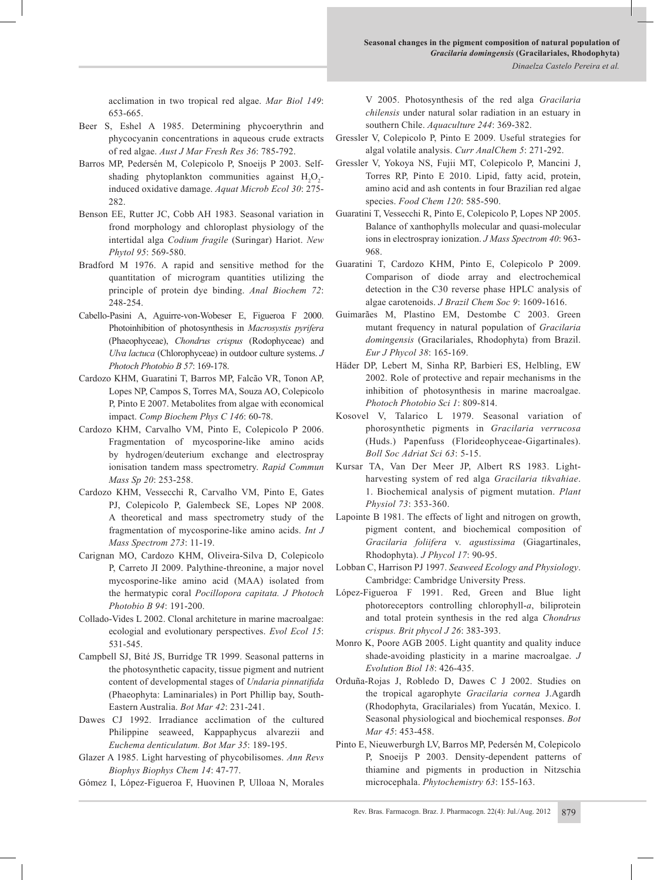acclimation in two tropical red algae. *Mar Biol 149*: 653-665.

- Beer S, Eshel A 1985. Determining phycoerythrin and phycocyanin concentrations in aqueous crude extracts of red algae. *Aust J Mar Fresh Res 36*: 785-792.
- Barros MP, Pedersén M, Colepicolo P, Snoeijs P 2003. Selfshading phytoplankton communities against  $H_2O_2$ induced oxidative damage. *Aquat Microb Ecol 30*: 275- 282.
- Benson EE, Rutter JC, Cobb AH 1983. Seasonal variation in frond morphology and chloroplast physiology of the intertidal alga *Codium fragile* (Suringar) Hariot. *New Phytol 95*: 569-580.
- Bradford M 1976. A rapid and sensitive method for the quantitation of microgram quantities utilizing the principle of protein dye binding. *Anal Biochem 72*: 248-254.
- Cabello-Pasini A, Aguirre-von-Wobeser E, Figueroa F 2000. Photoinhibition of photosynthesis in *Macrosystis pyrifera* (Phaeophyceae), *Chondrus crispus* (Rodophyceae) and *Ulva lactuca* (Chlorophyceae) in outdoor culture systems. *J Photoch Photobio B 57*: 169-178.
- Cardozo KHM, Guaratini T, Barros MP, Falcão VR, Tonon AP, Lopes NP, Campos S, Torres MA, Souza AO, Colepicolo P, Pinto E 2007. Metabolites from algae with economical impact. *Comp Biochem Phys C 146*: 60-78.
- Cardozo KHM, Carvalho VM, Pinto E, Colepicolo P 2006. Fragmentation of mycosporine-like amino acids by hydrogen/deuterium exchange and electrospray ionisation tandem mass spectrometry. *Rapid Commun Mass Sp 20*: 253-258.
- Cardozo KHM, Vessecchi R, Carvalho VM, Pinto E, Gates PJ, Colepicolo P, Galembeck SE, Lopes NP 2008. A theoretical and mass spectrometry study of the fragmentation of mycosporine-like amino acids. *Int J Mass Spectrom 273*: 11-19.
- Carignan MO, Cardozo KHM, Oliveira-Silva D, Colepicolo P, Carreto JI 2009. Palythine-threonine, a major novel mycosporine-like amino acid (MAA) isolated from the hermatypic coral *Pocillopora capitata. J Photoch Photobio B 94*: 191-200.
- Collado-Vides L 2002. Clonal architeture in marine macroalgae: ecologial and evolutionary perspectives. *Evol Ecol 15*: 531-545.
- Campbell SJ, Bité JS, Burridge TR 1999. Seasonal patterns in the photosynthetic capacity, tissue pigment and nutrient content of developmental stages of *Undaria pinnatifida* (Phaeophyta: Laminariales) in Port Phillip bay, South-Eastern Australia. *Bot Mar 42*: 231-241.
- Dawes CJ 1992. Irradiance acclimation of the cultured Philippine seaweed, Kappaphycus alvarezii and *Euchema denticulatum. Bot Mar 35*: 189-195.
- Glazer A 1985. Light harvesting of phycobilisomes. *Ann Revs Biophys Biophys Chem 14*: 47-77.
- Gómez I, López-Figueroa F, Huovinen P, Ulloaa N, Morales

V 2005. Photosynthesis of the red alga *Gracilaria chilensis* under natural solar radiation in an estuary in southern Chile. *Aquaculture 244*: 369-382.

- Gressler V, Colepicolo P, Pinto E 2009. Useful strategies for algal volatile analysis. *Curr AnalChem 5*: 271-292.
- Gressler V, Yokoya NS, Fujii MT, Colepicolo P, Mancini J, Torres RP, Pinto E 2010. Lipid, fatty acid, protein, amino acid and ash contents in four Brazilian red algae species. *Food Chem 120*: 585-590.
- Guaratini T, Vessecchi R, Pinto E, Colepicolo P, Lopes NP 2005. Balance of xanthophylls molecular and quasi-molecular ions in electrospray ionization. *J Mass Spectrom 40*: 963- 968.
- Guaratini T, Cardozo KHM, Pinto E, Colepicolo P 2009. Comparison of diode array and electrochemical detection in the C30 reverse phase HPLC analysis of algae carotenoids. *J Brazil Chem Soc 9*: 1609-1616.
- Guimarães M, Plastino EM, Destombe C 2003. Green mutant frequency in natural population of *Gracilaria domingensis* (Gracilariales, Rhodophyta) from Brazil. *Eur J Phycol 38*: 165-169.
- Häder DP, Lebert M, Sinha RP, Barbieri ES, Helbling, EW 2002. Role of protective and repair mechanisms in the inhibition of photosynthesis in marine macroalgae. *Photoch Photobio Sci 1*: 809-814.
- Kosovel V, Talarico L 1979. Seasonal variation of phorosynthetic pigments in *Gracilaria verrucosa* (Huds.) Papenfuss (Florideophyceae-Gigartinales). *Boll Soc Adriat Sci 63*: 5-15.
- Kursar TA, Van Der Meer JP, Albert RS 1983. Lightharvesting system of red alga *Gracilaria tikvahiae*. 1. Biochemical analysis of pigment mutation. *Plant Physiol 73*: 353-360.
- Lapointe B 1981. The effects of light and nitrogen on growth, pigment content, and biochemical composition of *Gracilaria foliifera* v. *agustissima* (Giagartinales, Rhodophyta). *J Phycol 17*: 90-95.
- Lobban C, Harrison PJ 1997. *Seaweed Ecology and Physiology*. Cambridge: Cambridge University Press.
- López-Figueroa F 1991. Red, Green and Blue light photoreceptors controlling chlorophyll-*a*, biliprotein and total protein synthesis in the red alga *Chondrus crispus. Brit phycol J 26*: 383-393.
- Monro K, Poore AGB 2005. Light quantity and quality induce shade-avoiding plasticity in a marine macroalgae. *J Evolution Biol 18*: 426-435.
- Orduña-Rojas J, Robledo D, Dawes C J 2002. Studies on the tropical agarophyte *Gracilaria cornea* J.Agardh (Rhodophyta, Gracilariales) from Yucatán, Mexico. I. Seasonal physiological and biochemical responses. *Bot Mar 45*: 453-458.
- Pinto E, Nieuwerburgh LV, Barros MP, Pedersén M, Colepicolo P, Snoeijs P 2003. Density-dependent patterns of thiamine and pigments in production in Nitzschia microcephala. *Phytochemistry 63*: 155-163.